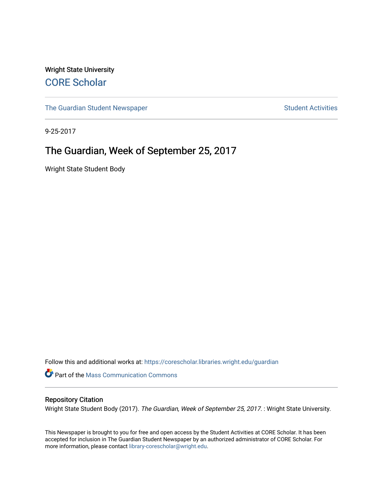Wright State University [CORE Scholar](https://corescholar.libraries.wright.edu/)

[The Guardian Student Newspaper](https://corescholar.libraries.wright.edu/guardian) Student Activities

9-25-2017

# The Guardian, Week of September 25, 2017

Wright State Student Body

Follow this and additional works at: [https://corescholar.libraries.wright.edu/guardian](https://corescholar.libraries.wright.edu/guardian?utm_source=corescholar.libraries.wright.edu%2Fguardian%2F1827&utm_medium=PDF&utm_campaign=PDFCoverPages)

Part of the [Mass Communication Commons](http://network.bepress.com/hgg/discipline/334?utm_source=corescholar.libraries.wright.edu%2Fguardian%2F1827&utm_medium=PDF&utm_campaign=PDFCoverPages) 

# Repository Citation

Wright State Student Body (2017). The Guardian, Week of September 25, 2017. : Wright State University.

This Newspaper is brought to you for free and open access by the Student Activities at CORE Scholar. It has been accepted for inclusion in The Guardian Student Newspaper by an authorized administrator of CORE Scholar. For more information, please contact [library-corescholar@wright.edu.](mailto:library-corescholar@wright.edu)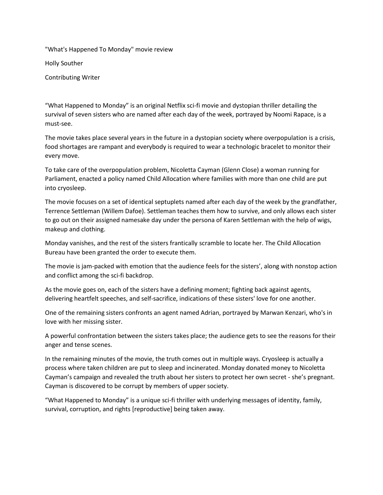"What's Happened To Monday" movie review

Holly Souther

Contributing Writer

"What Happened to Monday" is an original Netflix sci-fi movie and dystopian thriller detailing the survival of seven sisters who are named after each day of the week, portrayed by Noomi Rapace, is a must-see.

The movie takes place several years in the future in a dystopian society where overpopulation is a crisis, food shortages are rampant and everybody is required to wear a technologic bracelet to monitor their every move.

To take care of the overpopulation problem, Nicoletta Cayman (Glenn Close) a woman running for Parliament, enacted a policy named Child Allocation where families with more than one child are put into cryosleep.

The movie focuses on a set of identical septuplets named after each day of the week by the grandfather, Terrence Settleman (Willem Dafoe). Settleman teaches them how to survive, and only allows each sister to go out on their assigned namesake day under the persona of Karen Settleman with the help of wigs, makeup and clothing.

Monday vanishes, and the rest of the sisters frantically scramble to locate her. The Child Allocation Bureau have been granted the order to execute them.

The movie is jam-packed with emotion that the audience feels for the sisters', along with nonstop action and conflict among the sci-fi backdrop.

As the movie goes on, each of the sisters have a defining moment; fighting back against agents, delivering heartfelt speeches, and self-sacrifice, indications of these sisters' love for one another.

One of the remaining sisters confronts an agent named Adrian, portrayed by Marwan Kenzari, who's in love with her missing sister.

A powerful confrontation between the sisters takes place; the audience gets to see the reasons for their anger and tense scenes.

In the remaining minutes of the movie, the truth comes out in multiple ways. Cryosleep is actually a process where taken children are put to sleep and incinerated. Monday donated money to Nicoletta Cayman's campaign and revealed the truth about her sisters to protect her own secret - she's pregnant. Cayman is discovered to be corrupt by members of upper society.

"What Happened to Monday" is a unique sci-fi thriller with underlying messages of identity, family, survival, corruption, and rights [reproductive] being taken away.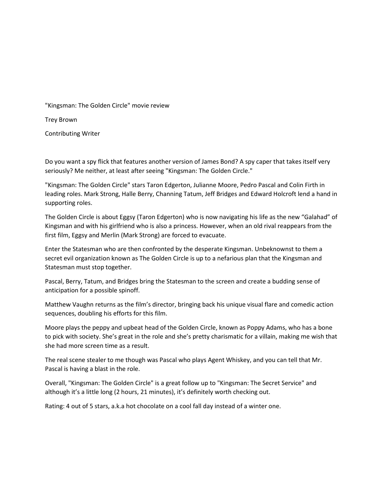"Kingsman: The Golden Circle" movie review

Trey Brown

Contributing Writer

Do you want a spy flick that features another version of James Bond? A spy caper that takes itself very seriously? Me neither, at least after seeing "Kingsman: The Golden Circle."

"Kingsman: The Golden Circle" stars Taron Edgerton, Julianne Moore, Pedro Pascal and Colin Firth in leading roles. Mark Strong, Halle Berry, Channing Tatum, Jeff Bridges and Edward Holcroft lend a hand in supporting roles.

The Golden Circle is about Eggsy (Taron Edgerton) who is now navigating his life as the new "Galahad" of Kingsman and with his girlfriend who is also a princess. However, when an old rival reappears from the first film, Eggsy and Merlin (Mark Strong) are forced to evacuate.

Enter the Statesman who are then confronted by the desperate Kingsman. Unbeknownst to them a secret evil organization known as The Golden Circle is up to a nefarious plan that the Kingsman and Statesman must stop together.

Pascal, Berry, Tatum, and Bridges bring the Statesman to the screen and create a budding sense of anticipation for a possible spinoff.

Matthew Vaughn returns as the film's director, bringing back his unique visual flare and comedic action sequences, doubling his efforts for this film.

Moore plays the peppy and upbeat head of the Golden Circle, known as Poppy Adams, who has a bone to pick with society. She's great in the role and she's pretty charismatic for a villain, making me wish that she had more screen time as a result.

The real scene stealer to me though was Pascal who plays Agent Whiskey, and you can tell that Mr. Pascal is having a blast in the role.

Overall, "Kingsman: The Golden Circle" is a great follow up to "Kingsman: The Secret Service" and although it's a little long (2 hours, 21 minutes), it's definitely worth checking out.

Rating: 4 out of 5 stars, a.k.a hot chocolate on a cool fall day instead of a winter one.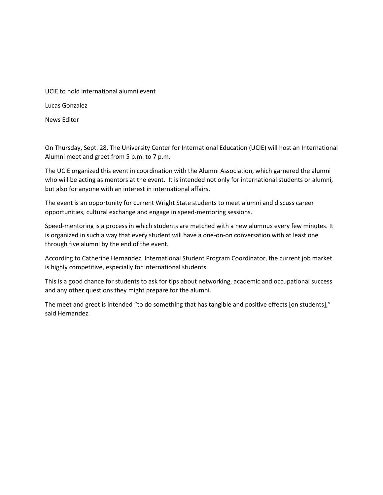Lucas Gonzalez

News Editor

On Thursday, Sept. 28, The University Center for International Education (UCIE) will host an International Alumni meet and greet from 5 p.m. to 7 p.m.

The UCIE organized this event in coordination with the Alumni Association, which garnered the alumni who will be acting as mentors at the event. It is intended not only for international students or alumni, but also for anyone with an interest in international affairs.

The event is an opportunity for current Wright State students to meet alumni and discuss career opportunities, cultural exchange and engage in speed-mentoring sessions.

Speed-mentoring is a process in which students are matched with a new alumnus every few minutes. It is organized in such a way that every student will have a one-on-on conversation with at least one through five alumni by the end of the event.

According to Catherine Hernandez, International Student Program Coordinator, the current job market is highly competitive, especially for international students.

This is a good chance for students to ask for tips about networking, academic and occupational success and any other questions they might prepare for the alumni.

The meet and greet is intended "to do something that has tangible and positive effects [on students]," said Hernandez.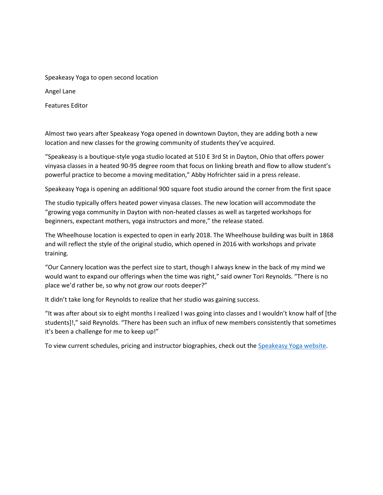Speakeasy Yoga to open second location Angel Lane Features Editor

Almost two years after Speakeasy Yoga opened in downtown Dayton, they are adding both a new location and new classes for the growing community of students they've acquired.

"Speakeasy is a boutique-style yoga studio located at 510 E 3rd St in Dayton, Ohio that offers power vinyasa classes in a heated 90-95 degree room that focus on linking breath and flow to allow student's powerful practice to become a moving meditation," Abby Hofrichter said in a press release.

Speakeasy Yoga is opening an additional 900 square foot studio around the corner from the first space

The studio typically offers heated power vinyasa classes. The new location will accommodate the "growing yoga community in Dayton with non-heated classes as well as targeted workshops for beginners, expectant mothers, yoga instructors and more," the release stated.

The Wheelhouse location is expected to open in early 2018. The Wheelhouse building was built in 1868 and will reflect the style of the original studio, which opened in 2016 with workshops and private training.

"Our Cannery location was the perfect size to start, though I always knew in the back of my mind we would want to expand our offerings when the time was right," said owner Tori Reynolds. "There is no place we'd rather be, so why not grow our roots deeper?"

It didn't take long for Reynolds to realize that her studio was gaining success.

"It was after about six to eight months I realized I was going into classes and I wouldn't know half of [the students]!," said Reynolds. "There has been such an influx of new members consistently that sometimes it's been a challenge for me to keep up!"

To view current schedules, pricing and instructor biographies, check out the [Speakeasy Yoga website.](http://www.speakeasydayton.com/schedule/)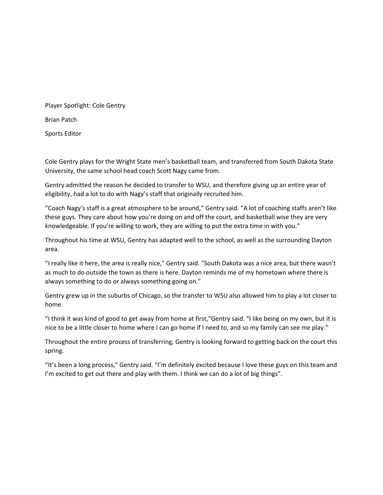Player Spotlight: Cole Gentry Brian Patch Sports Editor

Cole Gentry plays for the Wright State men's basketball team, and transferred from South Dakota State University, the same school head coach Scott Nagy came from.

Gentry admitted the reason he decided to transfer to WSU, and therefore giving up an entire year of eligibility, had a lot to do with Nagy's staff that originally recruited him.

"Coach Nagy's staff is a great atmosphere to be around," Gentry said. "A lot of coaching staffs aren't like these guys. They care about how you're doing on and off the court, and basketball wise they are very knowledgeable. If you're willing to work, they are willing to put the extra time in with you."

Throughout his time at WSU, Gentry has adapted well to the school, as well as the surrounding Dayton area.

"I really like it here, the area is really nice," Gentry said. "South Dakota was a nice area, but there wasn't as much to do outside the town as there is here. Dayton reminds me of my hometown where there is always something to do or always something going on."

Gentry grew up in the suburbs of Chicago, so the transfer to WSU also allowed him to play a lot closer to home.

"I think it was kind of good to get away from home at first,"Gentry said. "I like being on my own, but it is nice to be a little closer to home where I can go home if I need to, and so my family can see me play."

Throughout the entire process of transferring, Gentry is looking forward to getting back on the court this spring.

"It's been a long process," Gentry said. "I'm definitely excited because I love these guys on this team and I'm excited to get out there and play with them. I think we can do a lot of big things".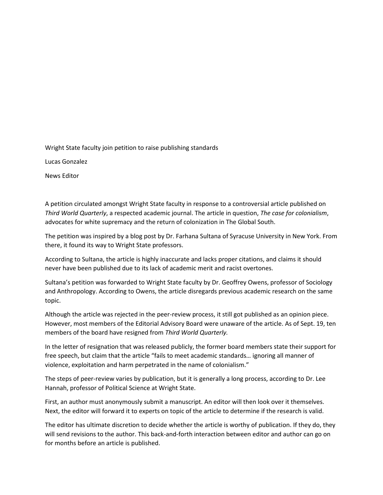Wright State faculty join petition to raise publishing standards

Lucas Gonzalez

News Editor

A petition circulated amongst Wright State faculty in response to a controversial article published on *Third World Quarterly*, a respected academic journal. The article in question, *The case for colonialism*, advocates for white supremacy and the return of colonization in The Global South.

The petition was inspired by a blog post by Dr. Farhana Sultana of Syracuse University in New York. From there, it found its way to Wright State professors.

According to Sultana, the article is highly inaccurate and lacks proper citations, and claims it should never have been published due to its lack of academic merit and racist overtones.

Sultana's petition was forwarded to Wright State faculty by Dr. Geoffrey Owens, professor of Sociology and Anthropology. According to Owens, the article disregards previous academic research on the same topic.

Although the article was rejected in the peer-review process, it still got published as an opinion piece. However, most members of the Editorial Advisory Board were unaware of the article. As of Sept. 19, ten members of the board have resigned from *Third World Quarterly.*

In the letter of resignation that was released publicly, the former board members state their support for free speech, but claim that the article "fails to meet academic standards… ignoring all manner of violence, exploitation and harm perpetrated in the name of colonialism."

The steps of peer-review varies by publication, but it is generally a long process, according to Dr. Lee Hannah, professor of Political Science at Wright State.

First, an author must anonymously submit a manuscript. An editor will then look over it themselves. Next, the editor will forward it to experts on topic of the article to determine if the research is valid.

The editor has ultimate discretion to decide whether the article is worthy of publication. If they do, they will send revisions to the author. This back-and-forth interaction between editor and author can go on for months before an article is published.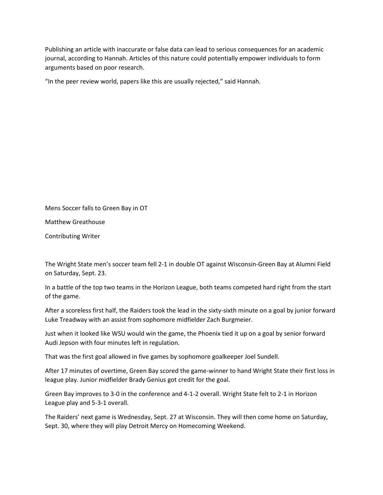Publishing an article with inaccurate or false data can lead to serious consequences for an academic journal, according to Hannah. Articles of this nature could potentially empower individuals to form arguments based on poor research.

"In the peer review world, papers like this are usually rejected," said Hannah.

Mens Soccer falls to Green Bay in OT

Matthew Greathouse

Contributing Writer

The Wright State men's soccer team fell 2-1 in double OT against Wisconsin-Green Bay at Alumni Field on Saturday, Sept. 23.

In a battle of the top two teams in the Horizon League, both teams competed hard right from the start of the game.

After a scoreless first half, the Raiders took the lead in the sixty-sixth minute on a goal by junior forward Luke Treadway with an assist from sophomore midfielder Zach Burgmeier.

Just when it looked like WSU would win the game, the Phoenix tied it up on a goal by senior forward Audi Jepson with four minutes left in regulation.

That was the first goal allowed in five games by sophomore goalkeeper Joel Sundell.

After 17 minutes of overtime, Green Bay scored the game-winner to hand Wright State their first loss in league play. Junior midfielder Brady Genius got credit for the goal.

Green Bay improves to 3-0 in the conference and 4-1-2 overall. Wright State felt to 2-1 in Horizon League play and 5-3-1 overall.

The Raiders' next game is Wednesday, Sept. 27 at Wisconsin. They will then come home on Saturday, Sept. 30, where they will play Detroit Mercy on Homecoming Weekend.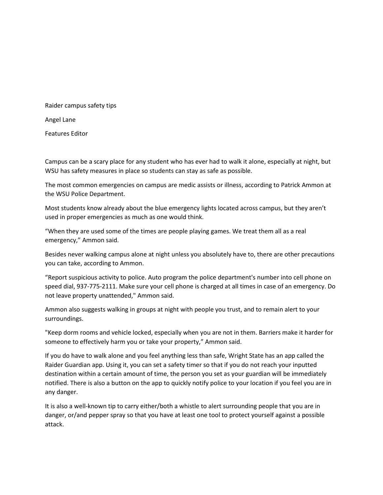Raider campus safety tips

Angel Lane

Features Editor

Campus can be a scary place for any student who has ever had to walk it alone, especially at night, but WSU has safety measures in place so students can stay as safe as possible.

The most common emergencies on campus are medic assists or illness, according to Patrick Ammon at the WSU Police Department.

Most students know already about the blue emergency lights located across campus, but they aren't used in proper emergencies as much as one would think.

"When they are used some of the times are people playing games. We treat them all as a real emergency," Ammon said.

Besides never walking campus alone at night unless you absolutely have to, there are other precautions you can take, according to Ammon.

"Report suspicious activity to police. Auto program the police department's number into cell phone on speed dial, 937-775-2111. Make sure your cell phone is charged at all times in case of an emergency. Do not leave property unattended," Ammon said.

Ammon also suggests walking in groups at night with people you trust, and to remain alert to your surroundings.

"Keep dorm rooms and vehicle locked, especially when you are not in them. Barriers make it harder for someone to effectively harm you or take your property," Ammon said.

If you do have to walk alone and you feel anything less than safe, Wright State has an app called the Raider Guardian app. Using it, you can set a safety timer so that if you do not reach your inputted destination within a certain amount of time, the person you set as your guardian will be immediately notified. There is also a button on the app to quickly notify police to your location if you feel you are in any danger.

It is also a well-known tip to carry either/both a whistle to alert surrounding people that you are in danger, or/and pepper spray so that you have at least one tool to protect yourself against a possible attack.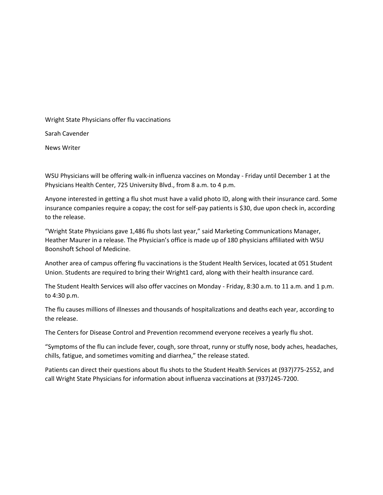Wright State Physicians offer flu vaccinations

Sarah Cavender

News Writer

WSU Physicians will be offering walk-in influenza vaccines on Monday - Friday until December 1 at the Physicians Health Center, 725 University Blvd., from 8 a.m. to 4 p.m.

Anyone interested in getting a flu shot must have a valid photo ID, along with their insurance card. Some insurance companies require a copay; the cost for self-pay patients is \$30, due upon check in, according to the release.

"Wright State Physicians gave 1,486 flu shots last year," said Marketing Communications Manager, Heather Maurer in a release. The Physician's office is made up of 180 physicians affiliated with WSU Boonshoft School of Medicine.

Another area of campus offering flu vaccinations is the Student Health Services, located at 051 Student Union. Students are required to bring their Wright1 card, along with their health insurance card.

The Student Health Services will also offer vaccines on Monday - Friday, 8:30 a.m. to 11 a.m. and 1 p.m. to 4:30 p.m.

The flu causes millions of illnesses and thousands of hospitalizations and deaths each year, according to the release.

The Centers for Disease Control and Prevention recommend everyone receives a yearly flu shot.

"Symptoms of the flu can include fever, cough, sore throat, runny or stuffy nose, body aches, headaches, chills, fatigue, and sometimes vomiting and diarrhea," the release stated.

Patients can direct their questions about flu shots to the Student Health Services at (937)775-2552, and call Wright State Physicians for information about influenza vaccinations at (937)245-7200.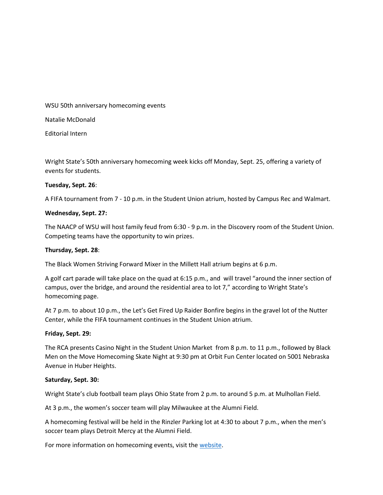WSU 50th anniversary homecoming events

Natalie McDonald

Editorial Intern

Wright State's 50th anniversary homecoming week kicks off Monday, Sept. 25, offering a variety of events for students.

## **Tuesday, Sept. 26**:

A FIFA tournament from 7 - 10 p.m. in the Student Union atrium, hosted by Campus Rec and Walmart.

## **Wednesday, Sept. 27:**

The NAACP of WSU will host family feud from 6:30 - 9 p.m. in the Discovery room of the Student Union. Competing teams have the opportunity to win prizes.

#### **Thursday, Sept. 28**:

The Black Women Striving Forward Mixer in the Millett Hall atrium begins at 6 p.m.

A golf cart parade will take place on the quad at 6:15 p.m., and will travel "around the inner section of campus, over the bridge, and around the residential area to lot 7," according to Wright State's homecoming page.

At 7 p.m. to about 10 p.m., the Let's Get Fired Up Raider Bonfire begins in the gravel lot of the Nutter Center, while the FIFA tournament continues in the Student Union atrium.

#### **Friday, Sept. 29:**

The RCA presents Casino Night in the Student Union Market from 8 p.m. to 11 p.m., followed by Black Men on the Move Homecoming Skate Night at 9:30 pm at Orbit Fun Center located on 5001 Nebraska Avenue in Huber Heights.

#### **Saturday, Sept. 30:**

Wright State's club football team plays Ohio State from 2 p.m. to around 5 p.m. at Mulhollan Field.

At 3 p.m., the women's soccer team will play Milwaukee at the Alumni Field.

A homecoming festival will be held in the Rinzler Parking lot at 4:30 to about 7 p.m., when the men's soccer team plays Detroit Mercy at the Alumni Field.

For more information on homecoming events, visit the [website.](http://wright.edu/event/homecoming)